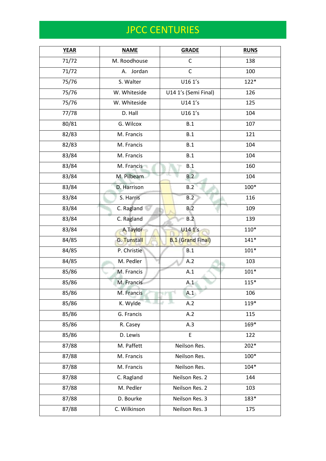| <b>YEAR</b> | <b>NAME</b>  | <b>GRADE</b>             | <b>RUNS</b> |
|-------------|--------------|--------------------------|-------------|
| 71/72       | M. Roodhouse | $\mathsf{C}$             | 138         |
| 71/72       | A. Jordan    | $\mathsf{C}$             | 100         |
| 75/76       | S. Walter    | U16 1's                  | $122*$      |
| 75/76       | W. Whiteside | U14 1's (Semi Final)     | 126         |
| 75/76       | W. Whiteside | U14 1's                  | 125         |
| 77/78       | D. Hall      | U16 1's                  | 104         |
| 80/81       | G. Wilcox    | B.1                      | 107         |
| 82/83       | M. Francis   | B.1                      | 121         |
| 82/83       | M. Francis   | B.1                      | 104         |
| 83/84       | M. Francis   | B.1                      | 104         |
| 83/84       | M. Francis   | B.1                      | 160         |
| 83/84       | M. Pilbeam   | B.2                      | 104         |
| 83/84       | D. Harrison  | B.2                      | 100*        |
| 83/84       | S. Harris    | B.2                      | 116         |
| 83/84       | C. Ragland   | B.2                      | 109         |
| 83/84       | C. Ragland   | B.2                      | 139         |
| 83/84       | A.Taylor     | U14 1's                  | $110*$      |
| 84/85       | G. Tunstall  | <b>B.1 (Grand Final)</b> | $141*$      |
| 84/85       | P. Christie  | B.1                      | $101*$      |
| 84/85       | M. Pedler    | A.2                      | 103         |
| 85/86       | M. Francis   | A.1                      | $101*$      |
| 85/86       | M. Francis   | A.1                      | $115*$      |
| 85/86       | M. Francis   | A.1                      | 106         |
| 85/86       | K. Wylde     | A.2                      | 119*        |
| 85/86       | G. Francis   | A.2                      | 115         |
| 85/86       | R. Casey     | A.3                      | 169*        |
| 85/86       | D. Lewis     | E                        | 122         |
| 87/88       | M. Paffett   | Neilson Res.             | $202*$      |
| 87/88       | M. Francis   | Neilson Res.             | 100*        |
| 87/88       | M. Francis   | Neilson Res.             | $104*$      |
| 87/88       | C. Ragland   | Neilson Res. 2           | 144         |
| 87/88       | M. Pedler    | Neilson Res. 2           | 103         |
| 87/88       | D. Bourke    | Neilson Res. 3           | 183*        |
| 87/88       | C. Wilkinson | Neilson Res. 3           | 175         |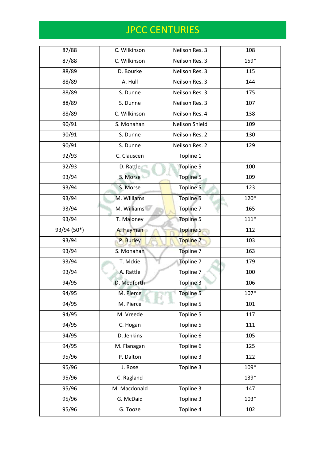| 87/88       | C. Wilkinson | Neilson Res. 3 | 108    |
|-------------|--------------|----------------|--------|
| 87/88       | C. Wilkinson | Neilson Res. 3 | 159*   |
| 88/89       | D. Bourke    | Neilson Res. 3 | 115    |
| 88/89       | A. Hull      | Neilson Res. 3 | 144    |
| 88/89       | S. Dunne     | Neilson Res. 3 | 175    |
| 88/89       | S. Dunne     | Neilson Res. 3 | 107    |
| 88/89       | C. Wilkinson | Neilson Res. 4 | 138    |
| 90/91       | S. Monahan   | Neilson Shield | 109    |
| 90/91       | S. Dunne     | Neilson Res. 2 | 130    |
| 90/91       | S. Dunne     | Neilson Res. 2 | 129    |
| 92/93       | C. Clauscen  | Topline 1      |        |
| 92/93       | D. Rattle    | Topline 5      | 100    |
| 93/94       | S. Morse     | Topline 5      | 109    |
| 93/94       | S. Morse     | Topline 5      | 123    |
| 93/94       | M. Williams  | Topline 5      | 120*   |
| 93/94       | M. Williams  | Topline 7      | 165    |
| 93/94       | T. Maloney   | Topline 5      | $111*$ |
| 93/94 (50*) | A. Hayman    | Topline 5      | 112    |
| 93/94       | P. Burley    | Topline 7      | 103    |
| 93/94       | S. Monahan   | Topline 7      | 163    |
| 93/94       | T. Mckie     | Topline 7      | 179    |
| 93/94       | A. Rattle    | Topline 7      | 100    |
| 94/95       | D. Medforth  | Topline 3      | 106    |
| 94/95       | M. Pierce    | Topline 5      | $107*$ |
| 94/95       | M. Pierce    | Topline 5      | 101    |
| 94/95       | M. Vreede    | Topline 5      | 117    |
| 94/95       | C. Hogan     | Topline 5      | 111    |
| 94/95       | D. Jenkins   | Topline 6      | 105    |
| 94/95       | M. Flanagan  | Topline 6      | 125    |
| 95/96       | P. Dalton    | Topline 3      | 122    |
| 95/96       | J. Rose      | Topline 3      | 109*   |
| 95/96       | C. Ragland   |                | 139*   |
| 95/96       | M. Macdonald | Topline 3      | 147    |
| 95/96       | G. McDaid    | Topline 3      | $103*$ |
| 95/96       | G. Tooze     | Topline 4      | 102    |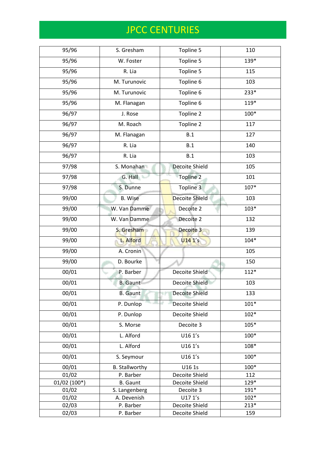| 95/96         | S. Gresham            | Topline 5             | 110    |
|---------------|-----------------------|-----------------------|--------|
| 95/96         | W. Foster             | Topline 5             | 139*   |
| 95/96         | R. Lia                | Topline 5             | 115    |
| 95/96         | M. Turunovic          | Topline 6             | 103    |
| 95/96         | M. Turunovic          | Topline 6             | 233*   |
| 95/96         | M. Flanagan           | Topline 6             | 119*   |
| 96/97         | J. Rose               | Topline 2             | 100*   |
| 96/97         | M. Roach              | Topline 2             | 117    |
| 96/97         | M. Flanagan           | B.1                   | 127    |
| 96/97         | R. Lia                | B.1                   | 140    |
| 96/97         | R. Lia                | B.1                   | 103    |
| 97/98         | S. Monahan            | Decoite Shield        | 105    |
| 97/98         | G. Hall               | Topline 2             | 101    |
| 97/98         | S. Dunne              | Topline 3             | $107*$ |
| 99/00         | <b>B.</b> Wise        | <b>Decoite Shield</b> | 103    |
| 99/00         | W. Van Damme          | Decoite 2             | $103*$ |
| 99/00         | W. Van Damme          | Decoite 2             | 132    |
|               |                       |                       |        |
| 99/00         | S. Gresham            | Decoite 3             | 139    |
| 99/00         | L. Alford             | U141's                | $104*$ |
| 99/00         | A. Cronin             |                       | 105    |
| 99/00         | D. Bourke             |                       | 150    |
| 00/01         | P. Barber             | Decoite Shield        | $112*$ |
| 00/01         | <b>B.</b> Gaunt       | Decoite Shield        | 103    |
| 00/01         | <b>B.</b> Gaunt       | Decoite Shield        | 133    |
| 00/01         | P. Dunlop             | Decoite Shield        | $101*$ |
| 00/01         | P. Dunlop             | Decoite Shield        | $102*$ |
| 00/01         | S. Morse              | Decoite 3             | $105*$ |
| 00/01         | L. Alford             | U16 1's               | 100*   |
| 00/01         | L. Alford             | U16 1's               | 108*   |
| 00/01         | S. Seymour            | U16 1's               | 100*   |
| 00/01         | <b>B.</b> Stallworthy | U16 1s                | 100*   |
| 01/02         | P. Barber             | Decoite Shield        | 112    |
| $01/02(100*)$ | <b>B.</b> Gaunt       | Decoite Shield        | 129*   |
| 01/02         | S. Langenberg         | Decoite 3             | $191*$ |
| 01/02         | A. Devenish           | U17 1's               | $102*$ |
| 02/03         | P. Barber             | Decoite Shield        | $213*$ |
| 02/03         | P. Barber             | Decoite Shield        | 159    |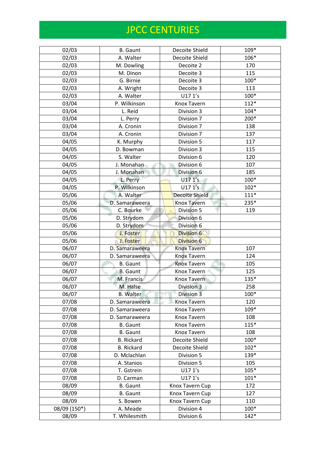| 02/03        | <b>B.</b> Gaunt   | Decoite Shield        | 109*   |
|--------------|-------------------|-----------------------|--------|
| 02/03        | A. Walter         | Decoite Shield        | 106*   |
| 02/03        | M. Dowling        | Decoite 2             | 170    |
| 02/03        | M. Dinon          | Decoite 3             | 115    |
| 02/03        | G. Birnie         | Decoite 3             | 100*   |
| 02/03        | A. Wright         | Decoite 3             | 113    |
| 02/03        | A. Walter         | U17 1's               | 100*   |
| 03/04        | P. Wilkinson      | Knox Tavern           | $112*$ |
| 03/04        | L. Reid           | Division 3            | $104*$ |
| 03/04        | L. Perry          | Division 7            | 200*   |
| 03/04        | A. Cronin         | Division 7            | 138    |
| 03/04        | A. Cronin         | Division 7            | 137    |
| 04/05        | K. Murphy         | Division 5            | 117    |
| 04/05        | D. Bowman         | Division 3            | 115    |
| 04/05        | S. Walter         | Division 6            | 120    |
| 04/05        | J. Monahan        | Division 6            | 107    |
| 04/05        | J. Monahan        | Division 6            | 185    |
| 04/05        | L. Perry          | U17 1's               | 100*   |
| 04/05        | P. Wilkinson      | U171's                | $102*$ |
| 05/06        | A. Walter         | <b>Decoite Shield</b> | $111*$ |
| 05/06        | D. Samaraweera    | Knox Tavern           | 235*   |
| 05/06        | C. Bourke         | Division 5            | 119    |
| 05/06        | D. Strydom        | Division 6            |        |
| 05/06        | D. Strydom        | Division 6            |        |
| 05/06        | J. Foster         | Division 6            |        |
| 05/06        | J. Foster         | Division 6            |        |
| 06/07        | D. Samaraweera    | <b>Knox Tavern</b>    | 107    |
| 06/07        | D. Samaraweera    | <b>Knox Tavern</b>    | 124    |
| 06/07        | <b>B.</b> Gaunt   | <b>Knox Tavern</b>    | 105    |
| 06/07        | <b>B.</b> Gaunt   | Knox Tavern           | 125    |
| 06/07        | M. Francis        | <b>Knox Tavern</b>    | 135*   |
| 06/07        | M. Halse          | Division 3            | 258    |
| 06/07        | <b>B.</b> Walter  | Division 3            | 100*   |
| 07/08        | D. Samaraweera    | Knox Tavern           | 120    |
| 07/08        | D. Samaraweera    | Knox Tavern           | $109*$ |
| 07/08        | D. Samaraweera    | Knox Tavern           | 108    |
| 07/08        | <b>B.</b> Gaunt   | Knox Tavern           | $115*$ |
| 07/08        | <b>B.</b> Gaunt   | Knox Tavern           | 108    |
| 07/08        | <b>B.</b> Rickard | Decoite Shield        | 100*   |
| 07/08        | <b>B.</b> Rickard | Decoite Shield        | $102*$ |
| 07/08        | D. Mclachlan      | Division 5            | 139*   |
| 07/08        | A. Stanios        | Division 5            | 105    |
| 07/08        | T. Gstrein        | U17 1's               | $105*$ |
| 07/08        | D. Carman         | U17 1's               | $101*$ |
| 08/09        | <b>B.</b> Gaunt   | Knox Tavern Cup       | 172    |
| 08/09        | <b>B.</b> Gaunt   | Knox Tavern Cup       | 127    |
| 08/09        | S. Bowen          | Knox Tavern Cup       | 110    |
| 08/09 (150*) | A. Meade          | Division 4            | 100*   |
| 08/09        | T. Whilesmith     | Division 6            | $142*$ |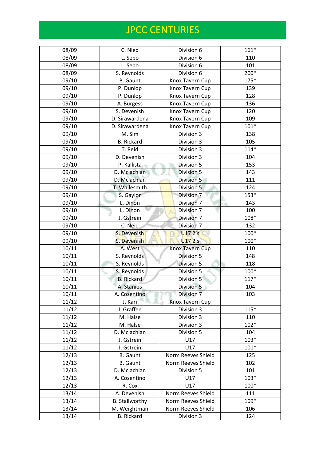| 08/09 | C. Nied               | Division 6             | $161*$ |
|-------|-----------------------|------------------------|--------|
| 08/09 | L. Sebo               | Division 6             | 110    |
| 08/09 | L. Sebo               | Division 6             | 101    |
| 08/09 | S. Reynolds           | Division 6             | 200*   |
| 09/10 | <b>B.</b> Gaunt       | Knox Tavern Cup        | $175*$ |
| 09/10 | P. Dunlop             | Knox Tavern Cup        | 139    |
| 09/10 | P. Dunlop             | Knox Tavern Cup        | 128    |
| 09/10 | A. Burgess            | Knox Tavern Cup        | 136    |
| 09/10 | S. Devenish           | Knox Tavern Cup        | 120    |
| 09/10 | D. Sirawardena        | Knox Tavern Cup        | 109    |
| 09/10 | D. Sirawardena        | Knox Tavern Cup        | $101*$ |
| 09/10 | M. Sim                | Division 3             | 138    |
| 09/10 | <b>B.</b> Rickard     | Division 3             | 105    |
| 09/10 | T. Reid               | Division 3             | $114*$ |
| 09/10 | D. Devenish           | Division 3             | 104    |
| 09/10 | P. Kallista           | Division 5             | 153    |
| 09/10 | D. Mclachlan          | Division 5             | 143    |
| 09/10 | D. Mclachlan          | Division 5             | 111    |
| 09/10 | T. Whilesmith         | Division 5             | 124    |
| 09/10 | S. Gaylor             | Division 7             | $153*$ |
| 09/10 | L. Dinon              | Division 7             | 143    |
| 09/10 | L. Dinon              | Division 7             | 100    |
| 09/10 | J. Gstrein            | Division 7             | 108*   |
| 09/10 | C. Neid               | Division 7             | 132    |
| 09/10 | S. Devenish           | U17 2's                | 100*   |
| 09/10 | S. Devenish           | U172's                 | 100*   |
| 10/11 | A. West               | <b>Knox Tavern Cup</b> | 110    |
| 10/11 | S. Reynolds           | Division 5             | 148    |
| 10/11 | S. Reynolds           | Division 5             | 118    |
| 10/11 | S. Reynolds           | Division 5             | 100*   |
| 10/11 | <b>B.</b> Rickard     | Division 5             | $117*$ |
| 10/11 | A. Stanios            | Division 5             | 104    |
| 10/11 | A. Cosentino          | Division 7             | 103    |
| 11/12 | J. Kari               | Knox Tavern Cup        |        |
| 11/12 | J. Graffen            | Division 3             | $115*$ |
| 11/12 | M. Halse              | Division 3             | 110    |
| 11/12 | M. Halse              | Division 3             | $102*$ |
| 11/12 | D. Mclachlan          | Division 5             | 104    |
| 11/12 | J. Gstrein            | U17                    | $103*$ |
| 11/12 | J. Gstrein            | U17                    | $101*$ |
| 12/13 | <b>B.</b> Gaunt       | Norm Reeves Shield     | 125    |
| 12/13 | <b>B.</b> Gaunt       | Norm Reeves Shield     | 102    |
| 12/13 | D. Mclachlan          | Division 5             | 101    |
| 12/13 | A. Cosentino          | U17                    | $103*$ |
| 12/13 | R. Cox                | U17                    | 100*   |
| 13/14 | A. Devenish           | Norm Reeves Shield     | 111    |
| 13/14 | <b>B.</b> Stallworthy | Norm Reeves Shield     | 109*   |
| 13/14 | M. Weightman          | Norm Reeves Shield     | 106    |
| 13/14 | <b>B.</b> Rickard     | Division 3             | 124    |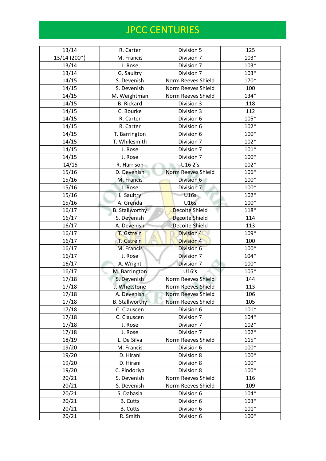| 13/14        | R. Carter             | Division 5                | 125    |
|--------------|-----------------------|---------------------------|--------|
| 13/14 (200*) | M. Francis            | Division 7                | $103*$ |
| 13/14        | J. Rose               | Division 7                | $103*$ |
| 13/14        | G. Saultry            | Division 7                | $103*$ |
| 14/15        | S. Devenish           | Norm Reeves Shield        | 170*   |
| 14/15        | S. Devenish           | Norm Reeves Shield        | 100    |
| 14/15        | M. Weightman          | Norm Reeves Shield        | 134*   |
| 14/15        | <b>B.</b> Rickard     | Division 3                | 118    |
| 14/15        | C. Bourke             | Division 3                | 112    |
| 14/15        | R. Carter             | Division 6                | $105*$ |
| 14/15        | R. Carter             | Division 6                | $102*$ |
| 14/15        | T. Barrington         | Division 6                | 100*   |
| 14/15        | T. Whilesmith         | Division 7                | $102*$ |
| 14/15        | J. Rose               | Division 7                | $101*$ |
| 14/15        | J. Rose               | Division 7                | 100*   |
| 14/15        | R. Harrison           | U16 2's                   | $102*$ |
| 15/16        | D. Devenish           | <b>Norm Reeves Shield</b> | 106*   |
| 15/16        | M. Francis            | Division 6                | 100*   |
| 15/16        | J. Rose               | Division 7                | 100*   |
| 15/16        | L. Saultry            | U16s                      | $102*$ |
| 15/16        | A. Grenda             | <b>U16s</b>               | 100*   |
| 16/17        | <b>B. Stallworthy</b> | Decoite Shield            | 118*   |
| 16/17        | S. Devenish           | <b>Decoite Shield</b>     | 114    |
| 16/17        | A. Devenish           | Decoite Shield            | 113    |
| 16/17        | T. Gstrein            | <b>Division 4</b>         | 109*   |
| 16/17        | T. Gstrein            | <b>Division 4</b>         | 100    |
| 16/17        | M. Francis            | Division 6                | 100*   |
| 16/17        | J. Rose               | Division 7                | $104*$ |
| 16/17        | A. Wright             | Division 7                | 100*   |
| 16/17        | M. Barrington         | U16's                     | 105*   |
| 17/18        | S. Devenish           | Norm Reeves Shield        | 144    |
| 17/18        | J. Whetstone          | Norm Reeves Shield        | 113    |
| 17/18        | A. Devenish           | <b>Norm Reeves Shield</b> | 106    |
| 17/18        | <b>B.</b> Stallworthy | Norm Reeves Shield        | 105    |
| 17/18        | C. Clauscen           | Division 6                | $101*$ |
| 17/18        | C. Clauscen           | Division 7                | $104*$ |
| 17/18        | J. Rose               | Division 7                | $102*$ |
| 17/18        | J. Rose               | Division 7                | $102*$ |
| 18/19        | L. De Silva           | Norm Reeves Shield        | $115*$ |
| 19/20        | M. Francis            | Division 6                | 100*   |
| 19/20        | D. Hirani             | Division 8                | 100*   |
| 19/20        | D. Hirani             | Division 8                | $100*$ |
| 19/20        | C. Pindoriya          | Division 8                | 100*   |
| 20/21        | S. Devenish           | Norm Reeves Shield        | 116    |
| 20/21        | S. Devenish           | Norm Reeves Shield        | 109    |
| 20/21        | S. Dabasia            | Division 6                | $104*$ |
| 20/21        | <b>B.</b> Cutts       | Division 6                | $103*$ |
| 20/21        | <b>B.</b> Cutts       | Division 6                | $101*$ |
| 20/21        | R. Smith              | Division 6                | $100*$ |